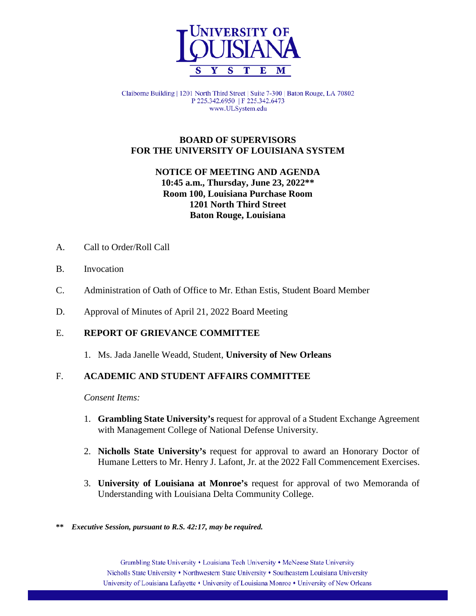

Claiborne Building | 1201 North Third Street | Suite 7-300 | Baton Rouge, LA 70802 P 225.342.6950 | F 225.342.6473 www.ULSystem.edu

## **BOARD OF SUPERVISORS FOR THE UNIVERSITY OF LOUISIANA SYSTEM**

# **NOTICE OF MEETING AND AGENDA 10:45 a.m., Thursday, June 23, 2022\*\* Room 100, Louisiana Purchase Room 1201 North Third Street Baton Rouge, Louisiana**

- A. Call to Order/Roll Call
- B. Invocation
- C. Administration of Oath of Office to Mr. Ethan Estis, Student Board Member
- D. Approval of Minutes of April 21, 2022 Board Meeting

# E. **REPORT OF GRIEVANCE COMMITTEE**

1. Ms. Jada Janelle Weadd, Student, **University of New Orleans**

# F. **ACADEMIC AND STUDENT AFFAIRS COMMITTEE**

- 1. **Grambling State University's** request for approval of a Student Exchange Agreement with Management College of National Defense University.
- 2. **Nicholls State University's** request for approval to award an Honorary Doctor of Humane Letters to Mr. Henry J. Lafont, Jr. at the 2022 Fall Commencement Exercises.
- 3. **University of Louisiana at Monroe's** request for approval of two Memoranda of Understanding with Louisiana Delta Community College.
- **\*\*** *Executive Session, pursuant to R.S. 42:17, may be required.*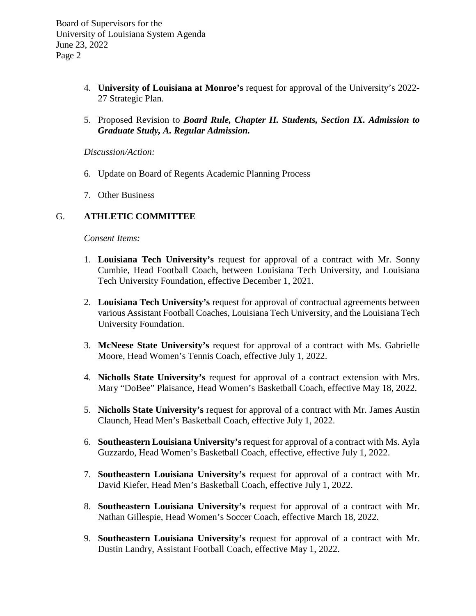Board of Supervisors for the University of Louisiana System Agenda June 23, 2022 Page 2

- 4. **University of Louisiana at Monroe's** request for approval of the University's 2022- 27 Strategic Plan.
- 5. Proposed Revision to *Board Rule, Chapter II. Students, Section IX. Admission to Graduate Study, A. Regular Admission.*

*Discussion/Action:*

- 6. Update on Board of Regents Academic Planning Process
- 7. Other Business

## G. **ATHLETIC COMMITTEE**

- 1. **Louisiana Tech University's** request for approval of a contract with Mr. Sonny Cumbie, Head Football Coach, between Louisiana Tech University, and Louisiana Tech University Foundation, effective December 1, 2021.
- 2. **Louisiana Tech University's** request for approval of contractual agreements between various Assistant Football Coaches, Louisiana Tech University, and the Louisiana Tech University Foundation.
- 3. **McNeese State University's** request for approval of a contract with Ms. Gabrielle Moore, Head Women's Tennis Coach, effective July 1, 2022.
- 4. **Nicholls State University's** request for approval of a contract extension with Mrs. Mary "DoBee" Plaisance, Head Women's Basketball Coach, effective May 18, 2022.
- 5. **Nicholls State University's** request for approval of a contract with Mr. James Austin Claunch, Head Men's Basketball Coach, effective July 1, 2022.
- 6. **Southeastern Louisiana University's** request for approval of a contract with Ms. Ayla Guzzardo, Head Women's Basketball Coach, effective, effective July 1, 2022.
- 7. **Southeastern Louisiana University's** request for approval of a contract with Mr. David Kiefer, Head Men's Basketball Coach, effective July 1, 2022.
- 8. **Southeastern Louisiana University's** request for approval of a contract with Mr. Nathan Gillespie, Head Women's Soccer Coach, effective March 18, 2022.
- 9. **Southeastern Louisiana University's** request for approval of a contract with Mr. Dustin Landry, Assistant Football Coach, effective May 1, 2022.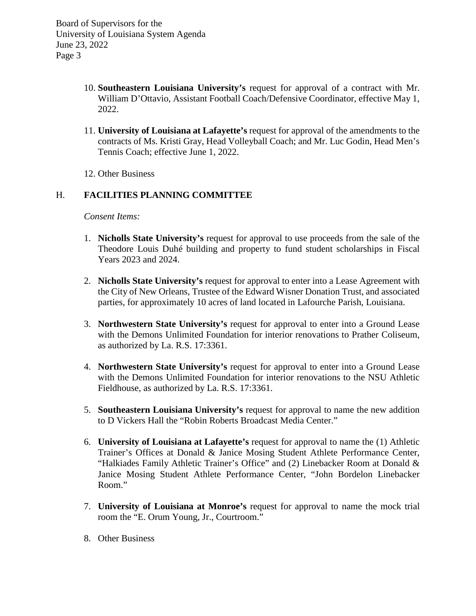- 10. **Southeastern Louisiana University's** request for approval of a contract with Mr. William D'Ottavio, Assistant Football Coach/Defensive Coordinator, effective May 1, 2022.
- 11. **University of Louisiana at Lafayette's** request for approval of the amendments to the contracts of Ms. Kristi Gray, Head Volleyball Coach; and Mr. Luc Godin, Head Men's Tennis Coach; effective June 1, 2022.
- 12. Other Business

# H. **FACILITIES PLANNING COMMITTEE**

- 1. **Nicholls State University's** request for approval to use proceeds from the sale of the Theodore Louis Duhé building and property to fund student scholarships in Fiscal Years 2023 and 2024.
- 2. **Nicholls State University's** request for approval to enter into a Lease Agreement with the City of New Orleans, Trustee of the Edward Wisner Donation Trust, and associated parties, for approximately 10 acres of land located in Lafourche Parish, Louisiana.
- 3. **Northwestern State University's** request for approval to enter into a Ground Lease with the Demons Unlimited Foundation for interior renovations to Prather Coliseum, as authorized by La. R.S. 17:3361.
- 4. **Northwestern State University's** request for approval to enter into a Ground Lease with the Demons Unlimited Foundation for interior renovations to the NSU Athletic Fieldhouse, as authorized by La. R.S. 17:3361.
- 5. **Southeastern Louisiana University's** request for approval to name the new addition to D Vickers Hall the "Robin Roberts Broadcast Media Center."
- 6. **University of Louisiana at Lafayette's** request for approval to name the (1) Athletic Trainer's Offices at Donald & Janice Mosing Student Athlete Performance Center, "Halkiades Family Athletic Trainer's Office" and (2) Linebacker Room at Donald & Janice Mosing Student Athlete Performance Center, "John Bordelon Linebacker Room."
- 7. **University of Louisiana at Monroe's** request for approval to name the mock trial room the "E. Orum Young, Jr., Courtroom."
- 8. Other Business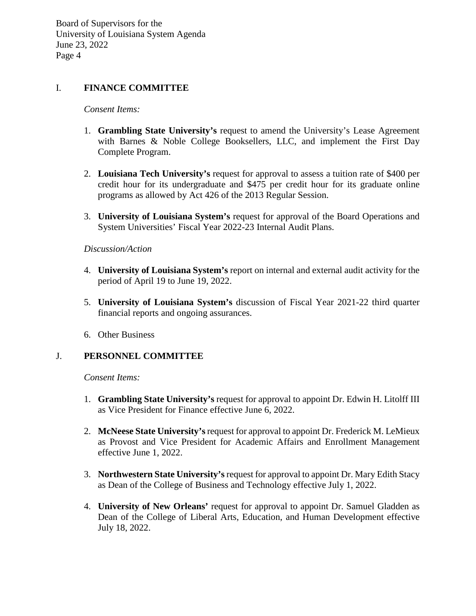Board of Supervisors for the University of Louisiana System Agenda June 23, 2022 Page 4

### I. **FINANCE COMMITTEE**

#### *Consent Items:*

- 1. **Grambling State University's** request to amend the University's Lease Agreement with Barnes & Noble College Booksellers, LLC, and implement the First Day Complete Program.
- 2. **Louisiana Tech University's** request for approval to assess a tuition rate of \$400 per credit hour for its undergraduate and \$475 per credit hour for its graduate online programs as allowed by Act 426 of the 2013 Regular Session.
- 3. **University of Louisiana System's** request for approval of the Board Operations and System Universities' Fiscal Year 2022-23 Internal Audit Plans.

#### *Discussion/Action*

- 4. **University of Louisiana System's** report on internal and external audit activity for the period of April 19 to June 19, 2022.
- 5. **University of Louisiana System's** discussion of Fiscal Year 2021-22 third quarter financial reports and ongoing assurances.
- 6. Other Business

### J. **PERSONNEL COMMITTEE**

- 1. **Grambling State University's** request for approval to appoint Dr. Edwin H. Litolff III as Vice President for Finance effective June 6, 2022.
- 2. **McNeese State University's**request for approval to appoint Dr. Frederick M. LeMieux as Provost and Vice President for Academic Affairs and Enrollment Management effective June 1, 2022.
- 3. **Northwestern State University's**request for approval to appoint Dr. Mary Edith Stacy as Dean of the College of Business and Technology effective July 1, 2022.
- 4. **University of New Orleans'** request for approval to appoint Dr. Samuel Gladden as Dean of the College of Liberal Arts, Education, and Human Development effective July 18, 2022.